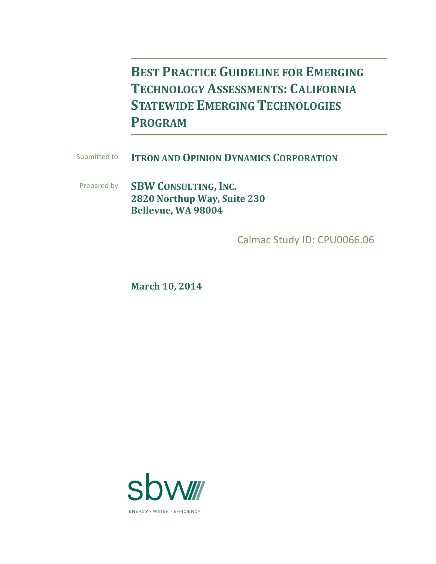**BEST PRACTICE GUIDELINE FOR EMERGING TECHNOLOGY ASSESSMENTS: CALIFORNIA STATEWIDE EMERGING TECHNOLOGIES PROGRAM**

Submitted to **ITRON AND OPINION DYNAMICS CORPORATION**

Prepared by **SBW CONSULTING, INC. 2820 Northup Way, Suite 230 Bellevue, WA 98004**

Calmac Study ID: CPU0066.06

**March 10, 2014**

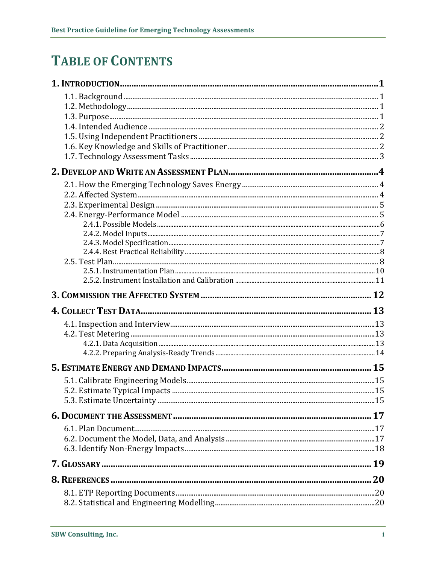## **TABLE OF CONTENTS**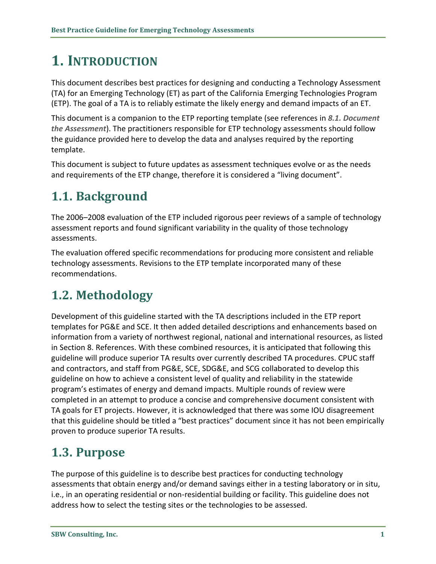# <span id="page-4-0"></span>**1. INTRODUCTION**

This document describes best practices for designing and conducting a Technology Assessment (TA) for an Emerging Technology (ET) as part of the California Emerging Technologies Program (ETP). The goal of a TA is to reliably estimate the likely energy and demand impacts of an ET.

This document is a companion to the ETP reporting template (see references in *[8.1.](#page-23-1) [Document](#page-20-0) the [Assessment](#page-20-0)*). The practitioners responsible for ETP technology assessments should follow the guidance provided here to develop the data and analyses required by the reporting template.

This document is subject to future updates as assessment techniques evolve or as the needs and requirements of the ETP change, therefore it is considered a "living document".

## <span id="page-4-1"></span>**1.1. Background**

The 2006–2008 evaluation of the ETP included rigorous peer reviews of a sample of technology assessment reports and found significant variability in the quality of those technology assessments.

The evaluation offered specific recommendations for producing more consistent and reliable technology assessments. Revisions to the ETP template incorporated many of these recommendations.

## <span id="page-4-2"></span>**1.2. Methodology**

Development of this guideline started with the TA descriptions included in the ETP report templates for PG&E and SCE. It then added detailed descriptions and enhancements based on information from a variety of northwest regional, national and international resources, as listed in Section [8.](#page-23-0) References. With these combined resources, it is anticipated that following this guideline will produce superior TA results over currently described TA procedures. CPUC staff and contractors, and staff from PG&E, SCE, SDG&E, and SCG collaborated to develop this guideline on how to achieve a consistent level of quality and reliability in the statewide program's estimates of energy and demand impacts. Multiple rounds of review were completed in an attempt to produce a concise and comprehensive document consistent with TA goals for ET projects. However, it is acknowledged that there was some IOU disagreement that this guideline should be titled a "best practices" document since it has not been empirically proven to produce superior TA results.

### <span id="page-4-3"></span>**1.3. Purpose**

The purpose of this guideline is to describe best practices for conducting technology assessments that obtain energy and/or demand savings either in a testing laboratory or in situ, i.e., in an operating residential or non-residential building or facility. This guideline does not address how to select the testing sites or the technologies to be assessed.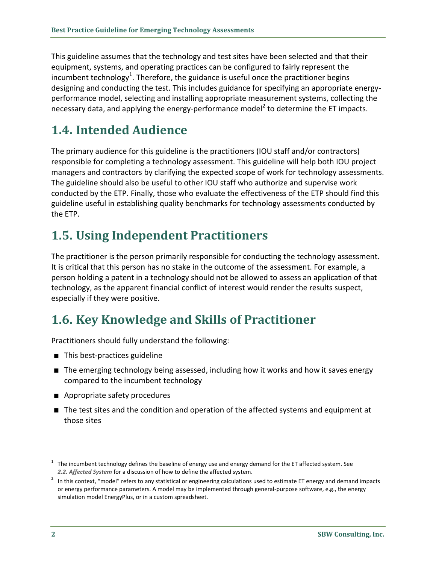This guideline assumes that the technology and test sites have been selected and that their equipment, systems, and operating practices can be configured to fairly represent the incumbent technology<sup>1</sup>. Therefore, the guidance is useful once the practitioner begins designing and conducting the test. This includes guidance for specifying an appropriate energyperformance model, selecting and installing appropriate measurement systems, collecting the necessary data, and applying the energy-performance model<sup>2</sup> to determine the ET impacts.

## <span id="page-5-0"></span>**1.4. Intended Audience**

The primary audience for this guideline is the practitioners (IOU staff and/or contractors) responsible for completing a technology assessment. This guideline will help both IOU project managers and contractors by clarifying the expected scope of work for technology assessments. The guideline should also be useful to other IOU staff who authorize and supervise work conducted by the ETP. Finally, those who evaluate the effectiveness of the ETP should find this guideline useful in establishing quality benchmarks for technology assessments conducted by the ETP.

## <span id="page-5-1"></span>**1.5. Using Independent Practitioners**

The practitioner is the person primarily responsible for conducting the technology assessment. It is critical that this person has no stake in the outcome of the assessment. For example, a person holding a patent in a technology should not be allowed to assess an application of that technology, as the apparent financial conflict of interest would render the results suspect, especially if they were positive.

## <span id="page-5-2"></span>**1.6. Key Knowledge and Skills of Practitioner**

Practitioners should fully understand the following:

- This best-practices guideline
- The emerging technology being assessed, including how it works and how it saves energy compared to the incumbent technology
- **Appropriate safety procedures**
- The test sites and the condition and operation of the affected systems and equipment at those sites

 $\overline{a}$ 

<sup>&</sup>lt;sup>1</sup> The incumbent technology defines the baseline of energy use and energy demand for the ET affected system. See *[2.2.](#page-7-2) [Affected System](#page-7-2)* for a discussion of how to define the affected system.

 $2$  In this context, "model" refers to any statistical or engineering calculations used to estimate ET energy and demand impacts or energy performance parameters. A model may be implemented through general-purpose software, e.g., the energy simulation model EnergyPlus, or in a custom spreadsheet.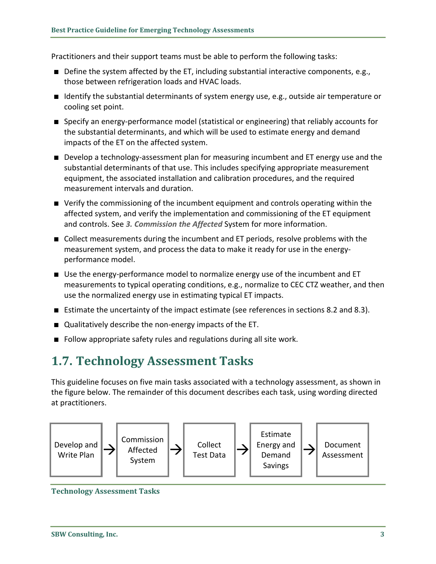Practitioners and their support teams must be able to perform the following tasks:

- Define the system affected by the ET, including substantial interactive components, e.g., those between refrigeration loads and HVAC loads.
- Identify the substantial determinants of system energy use, e.g., outside air temperature or cooling set point.
- Specify an energy-performance model (statistical or engineering) that reliably accounts for the substantial determinants, and which will be used to estimate energy and demand impacts of the ET on the affected system.
- **Develop a technology-assessment plan for measuring incumbent and ET energy use and the** substantial determinants of that use. This includes specifying appropriate measurement equipment, the associated installation and calibration procedures, and the required measurement intervals and duration.
- Verify the commissioning of the incumbent equipment and controls operating within the affected system, and verify the implementation and commissioning of the ET equipment and controls. See *[3.](#page-15-0) [Commission the Affected](#page-15-0)* System for more information.
- Collect measurements during the incumbent and ET periods, resolve problems with the measurement system, and process the data to make it ready for use in the energyperformance model.
- Use the energy-performance model to normalize energy use of the incumbent and ET measurements to typical operating conditions, e.g., normalize to CEC CTZ weather, and then use the normalized energy use in estimating typical ET impacts.
- Estimate the uncertainty of the impact estimate (see references in sections [8.2](#page-23-2) an[d 8.3\)](#page-23-3).
- Qualitatively describe the non-energy impacts of the ET.
- Follow appropriate safety rules and regulations during all site work.

### <span id="page-6-0"></span>**1.7. Technology Assessment Tasks**

This guideline focuses on five main tasks associated with a technology assessment, as shown in the figure below. The remainder of this document describes each task, using wording directed at practitioners.



**Technology Assessment Tasks**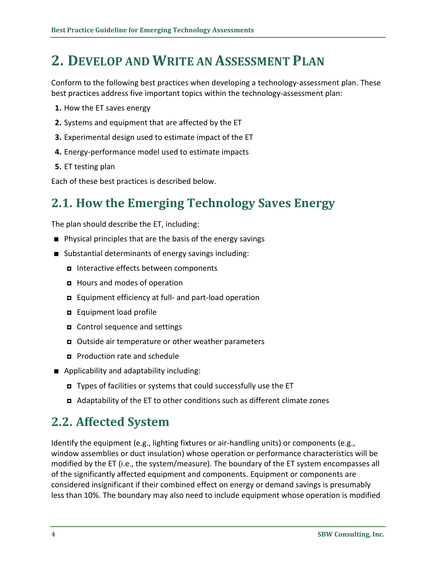## <span id="page-7-0"></span>**2. DEVELOP AND WRITE AN ASSESSMENT PLAN**

Conform to the following best practices when developing a technology-assessment plan. These best practices address five important topics within the technology-assessment plan:

- **1.** How the ET saves energy
- **2.** Systems and equipment that are affected by the ET
- **3.** Experimental design used to estimate impact of the ET
- **4.** Energy-performance model used to estimate impacts
- **5.** ET testing plan

Each of these best practices is described below.

## <span id="page-7-1"></span>**2.1. How the Emerging Technology Saves Energy**

The plan should describe the ET, including:

- Physical principles that are the basis of the energy savings
- Substantial determinants of energy savings including:
	- Interactive effects between components
	- Hours and modes of operation
	- Equipment efficiency at full- and part-load operation
	- **E** Equipment load profile
	- Control sequence and settings
	- Outside air temperature or other weather parameters
	- **Production rate and schedule**
- **Applicability and adaptability including:** 
	- Types of facilities or systems that could successfully use the ET
	- Adaptability of the ET to other conditions such as different climate zones

#### <span id="page-7-2"></span>**2.2. Affected System**

Identify the equipment (e.g., lighting fixtures or air-handling units) or components (e.g., window assemblies or duct insulation) whose operation or performance characteristics will be modified by the ET (i.e., the system/measure). The boundary of the ET system encompasses all of the significantly affected equipment and components. Equipment or components are considered insignificant if their combined effect on energy or demand savings is presumably less than 10%. The boundary may also need to include equipment whose operation is modified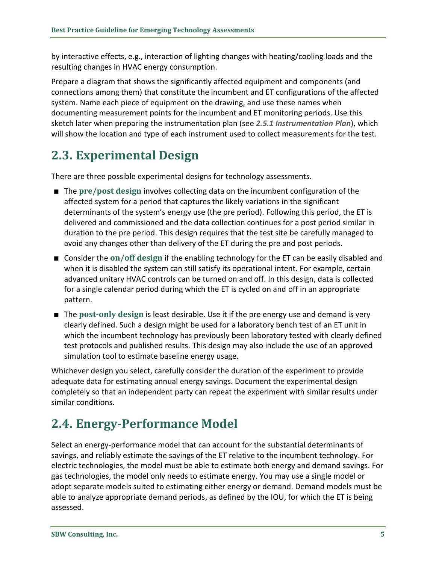by interactive effects, e.g., interaction of lighting changes with heating/cooling loads and the resulting changes in HVAC energy consumption.

Prepare a diagram that shows the significantly affected equipment and components (and connections among them) that constitute the incumbent and ET configurations of the affected system. Name each piece of equipment on the drawing, and use these names when documenting measurement points for the incumbent and ET monitoring periods. Use this sketch later when preparing the instrumentation plan (see *[2.5.1](#page-13-0) [Instrumentation](#page-13-0) Plan*), which will show the location and type of each instrument used to collect measurements for the test.

## <span id="page-8-0"></span>**2.3. Experimental Design**

There are three possible experimental designs for technology assessments.

- The **pre/post design** involves collecting data on the incumbent configuration of the affected system for a period that captures the likely variations in the significant determinants of the system's energy use (the pre period). Following this period, the ET is delivered and commissioned and the data collection continues for a post period similar in duration to the pre period. This design requires that the test site be carefully managed to avoid any changes other than delivery of the ET during the pre and post periods.
- Consider the on/off design if the enabling technology for the ET can be easily disabled and when it is disabled the system can still satisfy its operational intent. For example, certain advanced unitary HVAC controls can be turned on and off. In this design, data is collected for a single calendar period during which the ET is cycled on and off in an appropriate pattern.
- The post-only design is least desirable. Use it if the pre energy use and demand is very clearly defined. Such a design might be used for a laboratory bench test of an ET unit in which the incumbent technology has previously been laboratory tested with clearly defined test protocols and published results. This design may also include the use of an approved simulation tool to estimate baseline energy usage.

Whichever design you select, carefully consider the duration of the experiment to provide adequate data for estimating annual energy savings. Document the experimental design completely so that an independent party can repeat the experiment with similar results under similar conditions.

## <span id="page-8-1"></span>**2.4. Energy-Performance Model**

Select an energy-performance model that can account for the substantial determinants of savings, and reliably estimate the savings of the ET relative to the incumbent technology. For electric technologies, the model must be able to estimate both energy and demand savings. For gas technologies, the model only needs to estimate energy. You may use a single model or adopt separate models suited to estimating either energy or demand. Demand models must be able to analyze appropriate demand periods, as defined by the IOU, for which the ET is being assessed.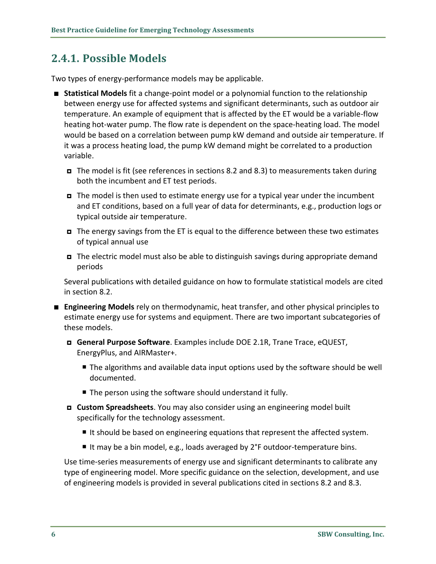#### <span id="page-9-0"></span>**2.4.1. Possible Models**

Two types of energy-performance models may be applicable.

- **Statistical Models** fit a change-point model or a polynomial function to the relationship between energy use for affected systems and significant determinants, such as outdoor air temperature. An example of equipment that is affected by the ET would be a variable-flow heating hot-water pump. The flow rate is dependent on the space-heating load. The model would be based on a correlation between pump kW demand and outside air temperature. If it was a process heating load, the pump kW demand might be correlated to a production variable.
	- The model is fit (see references in sections [8.2](#page-23-2) and [8.3\)](#page-23-3) to measurements taken during both the incumbent and ET test periods.
	- The model is then used to estimate energy use for a typical year under the incumbent and ET conditions, based on a full year of data for determinants, e.g., production logs or typical outside air temperature.
	- $\blacksquare$  The energy savings from the ET is equal to the difference between these two estimates of typical annual use
	- The electric model must also be able to distinguish savings during appropriate demand periods

Several publications with detailed guidance on how to formulate statistical models are cited in section [8.2.](#page-23-2)

- **Engineering Models** rely on thermodynamic, heat transfer, and other physical principles to estimate energy use for systems and equipment. There are two important subcategories of these models.
	- **General Purpose Software**. Examples include DOE 2.1R, Trane Trace, eQUEST, EnergyPlus, and AIRMaster+.
		- The algorithms and available data input options used by the software should be well documented.
		- The person using the software should understand it fully.
	- **Custom Spreadsheets**. You may also consider using an engineering model built specifically for the technology assessment.
		- It should be based on engineering equations that represent the affected system.
		- It may be a bin model, e.g., loads averaged by  $2^{\circ}F$  outdoor-temperature bins.

Use time-series measurements of energy use and significant determinants to calibrate any type of engineering model. More specific guidance on the selection, development, and use of engineering models is provided in several publications cited in sections [8.2](#page-23-2) and [8.3.](#page-23-3)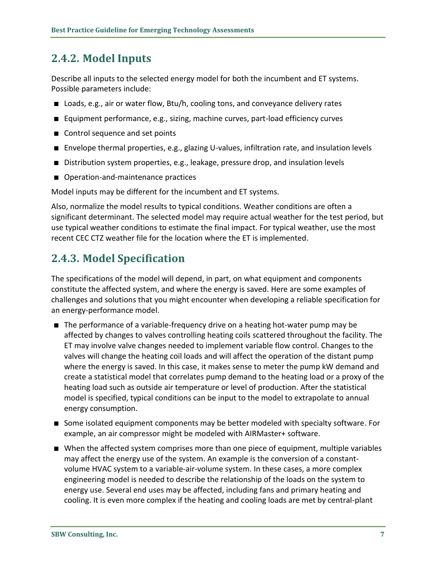#### <span id="page-10-0"></span>**2.4.2. Model Inputs**

Describe all inputs to the selected energy model for both the incumbent and ET systems. Possible parameters include:

- Loads, e.g., air or water flow, Btu/h, cooling tons, and conveyance delivery rates
- Equipment performance, e.g., sizing, machine curves, part-load efficiency curves
- Control sequence and set points
- Envelope thermal properties, e.g., glazing U-values, infiltration rate, and insulation levels
- **Distribution system properties, e.g., leakage, pressure drop, and insulation levels**
- Operation-and-maintenance practices

Model inputs may be different for the incumbent and ET systems.

Also, normalize the model results to typical conditions. Weather conditions are often a significant determinant. The selected model may require actual weather for the test period, but use typical weather conditions to estimate the final impact. For typical weather, use the most recent CEC CTZ weather file for the location where the ET is implemented.

#### <span id="page-10-1"></span>**2.4.3. Model Specification**

The specifications of the model will depend, in part, on what equipment and components constitute the affected system, and where the energy is saved. Here are some examples of challenges and solutions that you might encounter when developing a reliable specification for an energy-performance model.

- The performance of a variable-frequency drive on a heating hot-water pump may be affected by changes to valves controlling heating coils scattered throughout the facility. The ET may involve valve changes needed to implement variable flow control. Changes to the valves will change the heating coil loads and will affect the operation of the distant pump where the energy is saved. In this case, it makes sense to meter the pump kW demand and create a statistical model that correlates pump demand to the heating load or a proxy of the heating load such as outside air temperature or level of production. After the statistical model is specified, typical conditions can be input to the model to extrapolate to annual energy consumption.
- Some isolated equipment components may be better modeled with specialty software. For example, an air compressor might be modeled with AIRMaster+ software.
- When the affected system comprises more than one piece of equipment, multiple variables may affect the energy use of the system. An example is the conversion of a constantvolume HVAC system to a variable-air-volume system. In these cases, a more complex engineering model is needed to describe the relationship of the loads on the system to energy use. Several end uses may be affected, including fans and primary heating and cooling. It is even more complex if the heating and cooling loads are met by central-plant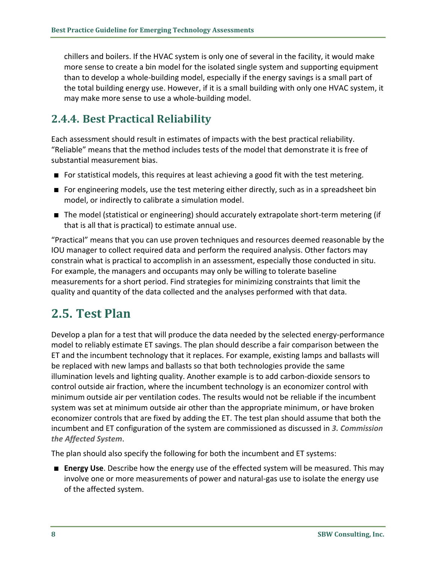chillers and boilers. If the HVAC system is only one of several in the facility, it would make more sense to create a bin model for the isolated single system and supporting equipment than to develop a whole-building model, especially if the energy savings is a small part of the total building energy use. However, if it is a small building with only one HVAC system, it may make more sense to use a whole-building model.

#### <span id="page-11-0"></span>**2.4.4. Best Practical Reliability**

Each assessment should result in estimates of impacts with the best practical reliability. "Reliable" means that the method includes tests of the model that demonstrate it is free of substantial measurement bias.

- For statistical models, this requires at least achieving a good fit with the test metering.
- **For engineering models, use the test metering either directly, such as in a spreadsheet bin** model, or indirectly to calibrate a simulation model.
- The model (statistical or engineering) should accurately extrapolate short-term metering (if that is all that is practical) to estimate annual use.

"Practical" means that you can use proven techniques and resources deemed reasonable by the IOU manager to collect required data and perform the required analysis. Other factors may constrain what is practical to accomplish in an assessment, especially those conducted in situ. For example, the managers and occupants may only be willing to tolerate baseline measurements for a short period. Find strategies for minimizing constraints that limit the quality and quantity of the data collected and the analyses performed with that data.

## <span id="page-11-1"></span>**2.5. Test Plan**

Develop a plan for a test that will produce the data needed by the selected energy-performance model to reliably estimate ET savings. The plan should describe a fair comparison between the ET and the incumbent technology that it replaces. For example, existing lamps and ballasts will be replaced with new lamps and ballasts so that both technologies provide the same illumination levels and lighting quality. Another example is to add carbon-dioxide sensors to control outside air fraction, where the incumbent technology is an economizer control with minimum outside air per ventilation codes. The results would not be reliable if the incumbent system was set at minimum outside air other than the appropriate minimum, or have broken economizer controls that are fixed by adding the ET. The test plan should assume that both the incumbent and ET configuration of the system are commissioned as discussed in *[3.](#page-15-0) [Commission](#page-15-0)  [the Affected System](#page-15-0)*.

The plan should also specify the following for both the incumbent and ET systems:

 **Energy Use**. Describe how the energy use of the effected system will be measured. This may involve one or more measurements of power and natural-gas use to isolate the energy use of the affected system.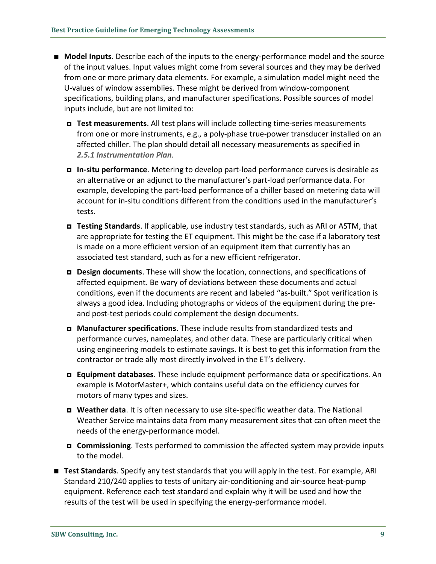- **Model Inputs**. Describe each of the inputs to the energy-performance model and the source of the input values. Input values might come from several sources and they may be derived from one or more primary data elements. For example, a simulation model might need the U-values of window assemblies. These might be derived from window-component specifications, building plans, and manufacturer specifications. Possible sources of model inputs include, but are not limited to:
	- **Test measurements**. All test plans will include collecting time-series measurements from one or more instruments, e.g., a poly-phase true-power transducer installed on an affected chiller. The plan should detail all necessary measurements as specified in *[2.5.1](#page-13-0) [Instrumentation](#page-13-0) Plan*.
	- **In-situ performance**. Metering to develop part-load performance curves is desirable as an alternative or an adjunct to the manufacturer's part-load performance data. For example, developing the part-load performance of a chiller based on metering data will account for in-situ conditions different from the conditions used in the manufacturer's tests.
	- **Testing Standards**. If applicable, use industry test standards, such as ARI or ASTM, that are appropriate for testing the ET equipment. This might be the case if a laboratory test is made on a more efficient version of an equipment item that currently has an associated test standard, such as for a new efficient refrigerator.
	- **Design documents**. These will show the location, connections, and specifications of affected equipment. Be wary of deviations between these documents and actual conditions, even if the documents are recent and labeled "as-built." Spot verification is always a good idea. Including photographs or videos of the equipment during the preand post-test periods could complement the design documents.
	- **Manufacturer specifications**. These include results from standardized tests and performance curves, nameplates, and other data. These are particularly critical when using engineering models to estimate savings. It is best to get this information from the contractor or trade ally most directly involved in the ET's delivery.
	- **Equipment databases**. These include equipment performance data or specifications. An example is MotorMaster+, which contains useful data on the efficiency curves for motors of many types and sizes.
	- **Weather data**. It is often necessary to use site-specific weather data. The National Weather Service maintains data from many measurement sites that can often meet the needs of the energy-performance model.
	- **Commissioning**. Tests performed to commission the affected system may provide inputs to the model.
- **Test Standards**. Specify any test standards that you will apply in the test. For example, ARI Standard 210/240 applies to tests of unitary air-conditioning and air-source heat-pump equipment. Reference each test standard and explain why it will be used and how the results of the test will be used in specifying the energy-performance model.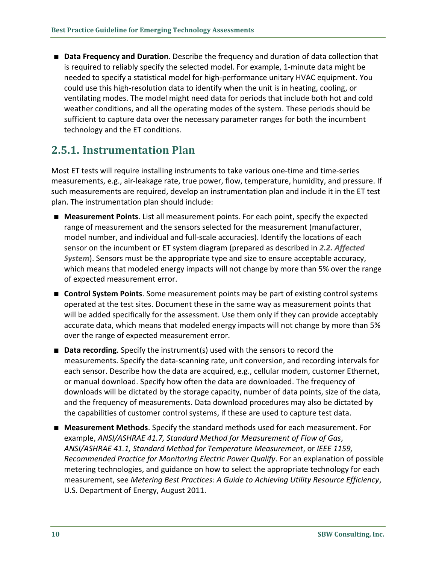**Data Frequency and Duration**. Describe the frequency and duration of data collection that is required to reliably specify the selected model. For example, 1-minute data might be needed to specify a statistical model for high-performance unitary HVAC equipment. You could use this high-resolution data to identify when the unit is in heating, cooling, or ventilating modes. The model might need data for periods that include both hot and cold weather conditions, and all the operating modes of the system. These periods should be sufficient to capture data over the necessary parameter ranges for both the incumbent technology and the ET conditions.

#### <span id="page-13-0"></span>**2.5.1. Instrumentation Plan**

Most ET tests will require installing instruments to take various one-time and time-series measurements, e.g., air-leakage rate, true power, flow, temperature, humidity, and pressure. If such measurements are required, develop an instrumentation plan and include it in the ET test plan. The instrumentation plan should include:

- **Measurement Points**. List all measurement points. For each point, specify the expected range of measurement and the sensors selected for the measurement (manufacturer, model number, and individual and full-scale accuracies). Identify the locations of each sensor on the incumbent or ET system diagram (prepared as described in *[2.2.](#page-7-2) [Affected](#page-7-2)  [System](#page-7-2)*). Sensors must be the appropriate type and size to ensure acceptable accuracy, which means that modeled energy impacts will not change by more than 5% over the range of expected measurement error.
- **Control System Points**. Some measurement points may be part of existing control systems operated at the test sites. Document these in the same way as measurement points that will be added specifically for the assessment. Use them only if they can provide acceptably accurate data, which means that modeled energy impacts will not change by more than 5% over the range of expected measurement error.
- **Data recording**. Specify the instrument(s) used with the sensors to record the measurements. Specify the data-scanning rate, unit conversion, and recording intervals for each sensor. Describe how the data are acquired, e.g., cellular modem, customer Ethernet, or manual download. Specify how often the data are downloaded. The frequency of downloads will be dictated by the storage capacity, number of data points, size of the data, and the frequency of measurements. Data download procedures may also be dictated by the capabilities of customer control systems, if these are used to capture test data.
- **Measurement Methods**. Specify the standard methods used for each measurement. For example, *ANSI/ASHRAE 41.7, Standard Method for Measurement of Flow of Gas*, *ANSI/ASHRAE 41.1, Standard Method for Temperature Measurement*, or *IEEE 1159, Recommended Practice for Monitoring Electric Power Qualify*. For an explanation of possible metering technologies, and guidance on how to select the appropriate technology for each measurement, see *Metering Best Practices: A Guide to Achieving Utility Resource Efficiency*, U.S. Department of Energy, August 2011.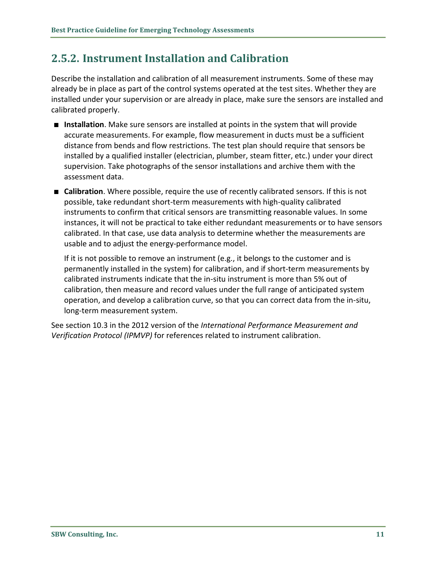#### <span id="page-14-0"></span>**2.5.2. Instrument Installation and Calibration**

Describe the installation and calibration of all measurement instruments. Some of these may already be in place as part of the control systems operated at the test sites. Whether they are installed under your supervision or are already in place, make sure the sensors are installed and calibrated properly.

- **Installation**. Make sure sensors are installed at points in the system that will provide accurate measurements. For example, flow measurement in ducts must be a sufficient distance from bends and flow restrictions. The test plan should require that sensors be installed by a qualified installer (electrician, plumber, steam fitter, etc.) under your direct supervision. Take photographs of the sensor installations and archive them with the assessment data.
- **E** Calibration. Where possible, require the use of recently calibrated sensors. If this is not possible, take redundant short-term measurements with high-quality calibrated instruments to confirm that critical sensors are transmitting reasonable values. In some instances, it will not be practical to take either redundant measurements or to have sensors calibrated. In that case, use data analysis to determine whether the measurements are usable and to adjust the energy-performance model.

If it is not possible to remove an instrument (e.g., it belongs to the customer and is permanently installed in the system) for calibration, and if short-term measurements by calibrated instruments indicate that the in-situ instrument is more than 5% out of calibration, then measure and record values under the full range of anticipated system operation, and develop a calibration curve, so that you can correct data from the in-situ, long-term measurement system.

See section 10.3 in the 2012 version of the *International Performance Measurement and Verification Protocol (IPMVP)* for references related to instrument calibration.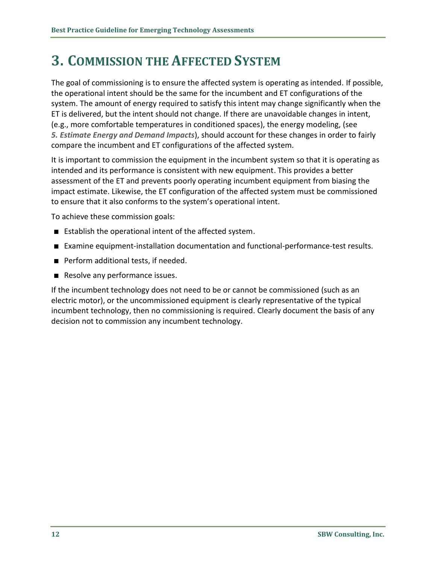## <span id="page-15-0"></span>**3. COMMISSION THE AFFECTED SYSTEM**

The goal of commissioning is to ensure the affected system is operating as intended. If possible, the operational intent should be the same for the incumbent and ET configurations of the system. The amount of energy required to satisfy this intent may change significantly when the ET is delivered, but the intent should not change. If there are unavoidable changes in intent, (e.g., more comfortable temperatures in conditioned spaces), the energy modeling, (see *[5.](#page-18-0) [Estimate Energy and Demand Impacts](#page-18-0)*), should account for these changes in order to fairly compare the incumbent and ET configurations of the affected system.

It is important to commission the equipment in the incumbent system so that it is operating as intended and its performance is consistent with new equipment. This provides a better assessment of the ET and prevents poorly operating incumbent equipment from biasing the impact estimate. Likewise, the ET configuration of the affected system must be commissioned to ensure that it also conforms to the system's operational intent.

To achieve these commission goals:

- Establish the operational intent of the affected system.
- Examine equipment-installation documentation and functional-performance-test results.
- **Perform additional tests, if needed.**
- Resolve any performance issues.

If the incumbent technology does not need to be or cannot be commissioned (such as an electric motor), or the uncommissioned equipment is clearly representative of the typical incumbent technology, then no commissioning is required. Clearly document the basis of any decision not to commission any incumbent technology.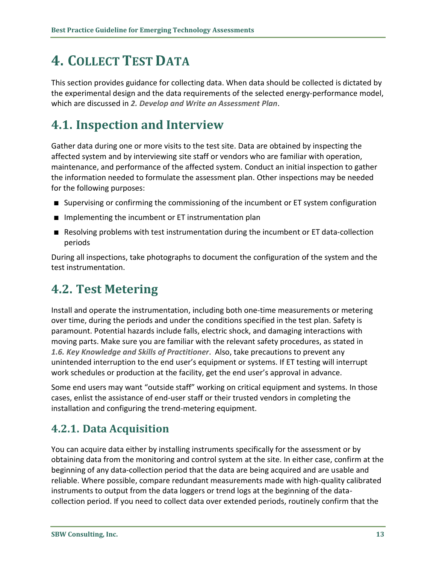# <span id="page-16-0"></span>**4. COLLECT TEST DATA**

This section provides guidance for collecting data. When data should be collected is dictated by the experimental design and the data requirements of the selected energy-performance model, which are discussed in *[2.](#page-7-0) [Develop and Write an Assessment](#page-7-0) Plan*.

### <span id="page-16-1"></span>**4.1. Inspection and Interview**

Gather data during one or more visits to the test site. Data are obtained by inspecting the affected system and by interviewing site staff or vendors who are familiar with operation, maintenance, and performance of the affected system. Conduct an initial inspection to gather the information needed to formulate the assessment plan. Other inspections may be needed for the following purposes:

- Supervising or confirming the commissioning of the incumbent or ET system configuration
- $\blacksquare$  Implementing the incumbent or ET instrumentation plan
- **Resolving problems with test instrumentation during the incumbent or ET data-collection** periods

During all inspections, take photographs to document the configuration of the system and the test instrumentation.

#### <span id="page-16-2"></span>**4.2. Test Metering**

Install and operate the instrumentation, including both one-time measurements or metering over time, during the periods and under the conditions specified in the test plan. Safety is paramount. Potential hazards include falls, electric shock, and damaging interactions with moving parts. Make sure you are familiar with the relevant safety procedures, as stated in *[1.6.](#page-5-2) [Key Knowledge and Skills of Practitioner](#page-5-2)*. Also, take precautions to prevent any unintended interruption to the end user's equipment or systems. If ET testing will interrupt work schedules or production at the facility, get the end user's approval in advance.

Some end users may want "outside staff" working on critical equipment and systems. In those cases, enlist the assistance of end-user staff or their trusted vendors in completing the installation and configuring the trend-metering equipment.

#### <span id="page-16-3"></span>**4.2.1. Data Acquisition**

You can acquire data either by installing instruments specifically for the assessment or by obtaining data from the monitoring and control system at the site. In either case, confirm at the beginning of any data-collection period that the data are being acquired and are usable and reliable. Where possible, compare redundant measurements made with high-quality calibrated instruments to output from the data loggers or trend logs at the beginning of the datacollection period. If you need to collect data over extended periods, routinely confirm that the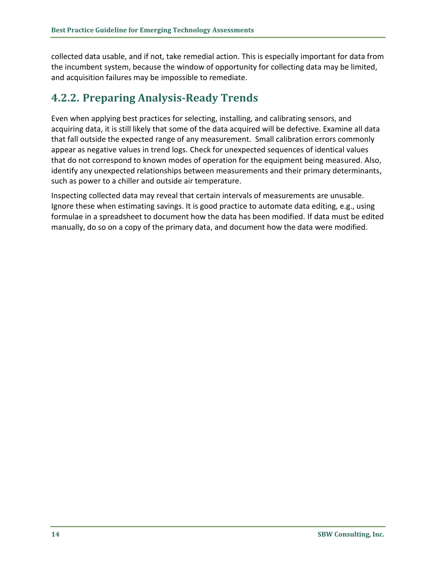collected data usable, and if not, take remedial action. This is especially important for data from the incumbent system, because the window of opportunity for collecting data may be limited, and acquisition failures may be impossible to remediate.

#### <span id="page-17-0"></span>**4.2.2. Preparing Analysis-Ready Trends**

Even when applying best practices for selecting, installing, and calibrating sensors, and acquiring data, it is still likely that some of the data acquired will be defective. Examine all data that fall outside the expected range of any measurement. Small calibration errors commonly appear as negative values in trend logs. Check for unexpected sequences of identical values that do not correspond to known modes of operation for the equipment being measured. Also, identify any unexpected relationships between measurements and their primary determinants, such as power to a chiller and outside air temperature.

Inspecting collected data may reveal that certain intervals of measurements are unusable. Ignore these when estimating savings. It is good practice to automate data editing, e.g., using formulae in a spreadsheet to document how the data has been modified. If data must be edited manually, do so on a copy of the primary data, and document how the data were modified.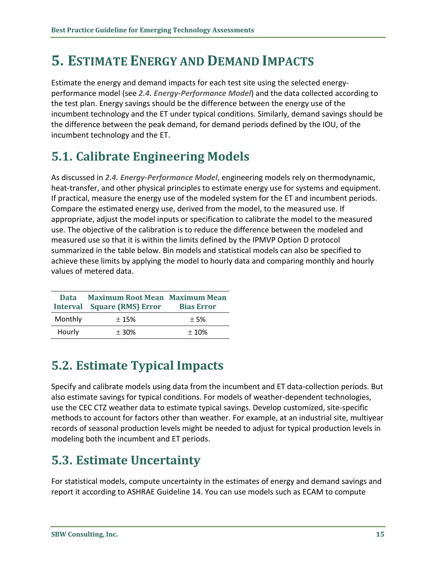## <span id="page-18-0"></span>**5. ESTIMATE ENERGY AND DEMAND IMPACTS**

Estimate the energy and demand impacts for each test site using the selected energyperformance model (see *[2.4.](#page-8-1) [Energy-Performance Model](#page-8-1)*) and the data collected according to the test plan. Energy savings should be the difference between the energy use of the incumbent technology and the ET under typical conditions. Similarly, demand savings should be the difference between the peak demand, for demand periods defined by the IOU, of the incumbent technology and the ET.

## <span id="page-18-1"></span>**5.1. Calibrate Engineering Models**

As discussed in *[2.4.](#page-8-1) [Energy-Performance Model](#page-8-1)*, engineering models rely on thermodynamic, heat-transfer, and other physical principles to estimate energy use for systems and equipment. If practical, measure the energy use of the modeled system for the ET and incumbent periods. Compare the estimated energy use, derived from the model, to the measured use. If appropriate, adjust the model inputs or specification to calibrate the model to the measured use. The objective of the calibration is to reduce the difference between the modeled and measured use so that it is within the limits defined by the IPMVP Option D protocol summarized in the table below. Bin models and statistical models can also be specified to achieve these limits by applying the model to hourly data and comparing monthly and hourly values of metered data.

| Data    | <b>Maximum Root Mean Maximum Mean</b><br><b>Interval</b> Square (RMS) Error | <b>Bias Error</b> |
|---------|-----------------------------------------------------------------------------|-------------------|
| Monthly | ±15%                                                                        | $+5%$             |
| Hourly  | $\pm$ 30%                                                                   | $\pm 10\%$        |

## <span id="page-18-2"></span>**5.2. Estimate Typical Impacts**

Specify and calibrate models using data from the incumbent and ET data-collection periods. But also estimate savings for typical conditions. For models of weather-dependent technologies, use the CEC CTZ weather data to estimate typical savings. Develop customized, site-specific methods to account for factors other than weather. For example, at an industrial site, multiyear records of seasonal production levels might be needed to adjust for typical production levels in modeling both the incumbent and ET periods.

## <span id="page-18-3"></span>**5.3. Estimate Uncertainty**

For statistical models, compute uncertainty in the estimates of energy and demand savings and report it according to ASHRAE Guideline 14. You can use models such as ECAM to compute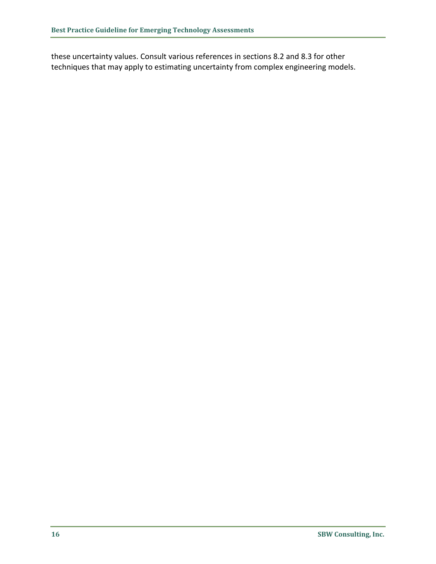these uncertainty values. Consult various references in sections [8.2](#page-23-2) and [8.3](#page-23-3) for other techniques that may apply to estimating uncertainty from complex engineering models.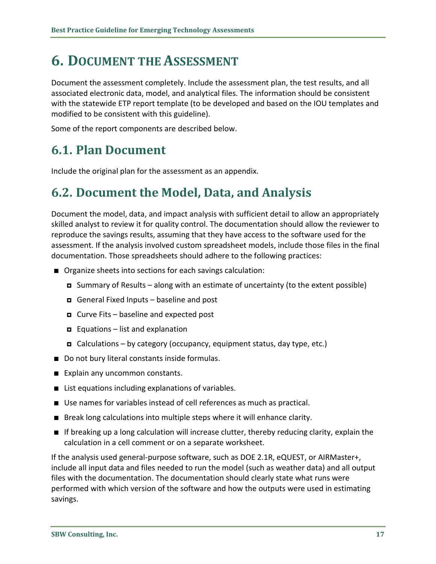# <span id="page-20-0"></span>**6. DOCUMENT THE ASSESSMENT**

Document the assessment completely. Include the assessment plan, the test results, and all associated electronic data, model, and analytical files. The information should be consistent with the statewide ETP report template (to be developed and based on the IOU templates and modified to be consistent with this guideline).

Some of the report components are described below.

## <span id="page-20-1"></span>**6.1. Plan Document**

Include the original plan for the assessment as an appendix.

### <span id="page-20-2"></span>**6.2. Document the Model, Data, and Analysis**

Document the model, data, and impact analysis with sufficient detail to allow an appropriately skilled analyst to review it for quality control. The documentation should allow the reviewer to reproduce the savings results, assuming that they have access to the software used for the assessment. If the analysis involved custom spreadsheet models, include those files in the final documentation. Those spreadsheets should adhere to the following practices:

- Organize sheets into sections for each savings calculation:
	- $\Box$  Summary of Results along with an estimate of uncertainty (to the extent possible)
	- General Fixed Inputs baseline and post
	- $\Box$  Curve Fits baseline and expected post
	- **E** Equations list and explanation
	- $\Box$  Calculations by category (occupancy, equipment status, day type, etc.)
- Do not bury literal constants inside formulas.
- Explain any uncommon constants.
- List equations including explanations of variables.
- Use names for variables instead of cell references as much as practical.
- **Break long calculations into multiple steps where it will enhance clarity.**
- If breaking up a long calculation will increase clutter, thereby reducing clarity, explain the calculation in a cell comment or on a separate worksheet.

If the analysis used general-purpose software, such as DOE 2.1R, eQUEST, or AIRMaster+, include all input data and files needed to run the model (such as weather data) and all output files with the documentation. The documentation should clearly state what runs were performed with which version of the software and how the outputs were used in estimating savings.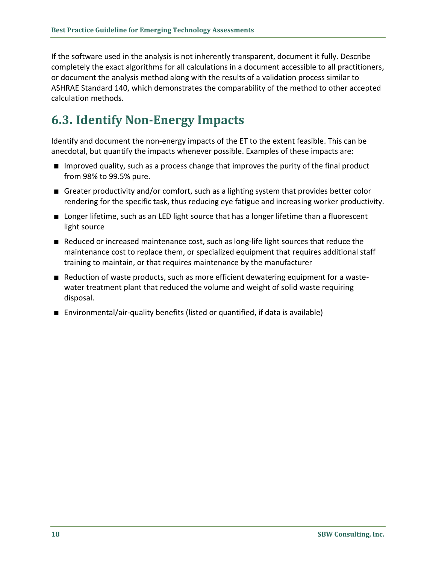If the software used in the analysis is not inherently transparent, document it fully. Describe completely the exact algorithms for all calculations in a document accessible to all practitioners, or document the analysis method along with the results of a validation process similar to ASHRAE Standard 140, which demonstrates the comparability of the method to other accepted calculation methods.

## <span id="page-21-0"></span>**6.3. Identify Non-Energy Impacts**

Identify and document the non-energy impacts of the ET to the extent feasible. This can be anecdotal, but quantify the impacts whenever possible. Examples of these impacts are:

- **IMP** Improved quality, such as a process change that improves the purity of the final product from 98% to 99.5% pure.
- Greater productivity and/or comfort, such as a lighting system that provides better color rendering for the specific task, thus reducing eye fatigue and increasing worker productivity.
- **L** Longer lifetime, such as an LED light source that has a longer lifetime than a fluorescent light source
- Reduced or increased maintenance cost, such as long-life light sources that reduce the maintenance cost to replace them, or specialized equipment that requires additional staff training to maintain, or that requires maintenance by the manufacturer
- Reduction of waste products, such as more efficient dewatering equipment for a wastewater treatment plant that reduced the volume and weight of solid waste requiring disposal.
- Environmental/air-quality benefits (listed or quantified, if data is available)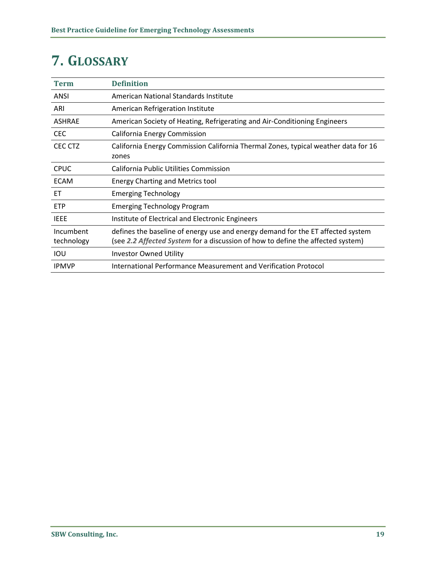# <span id="page-22-0"></span>**7. GLOSSARY**

| <b>Term</b>             | <b>Definition</b>                                                                                                                                                  |
|-------------------------|--------------------------------------------------------------------------------------------------------------------------------------------------------------------|
| ANSI                    | American National Standards Institute                                                                                                                              |
| ARI                     | <b>American Refrigeration Institute</b>                                                                                                                            |
| <b>ASHRAE</b>           | American Society of Heating, Refrigerating and Air-Conditioning Engineers                                                                                          |
| <b>CEC</b>              | California Energy Commission                                                                                                                                       |
| CEC CTZ                 | California Energy Commission California Thermal Zones, typical weather data for 16<br>zones                                                                        |
| <b>CPUC</b>             | California Public Utilities Commission                                                                                                                             |
| <b>ECAM</b>             | <b>Energy Charting and Metrics tool</b>                                                                                                                            |
| ЕT                      | <b>Emerging Technology</b>                                                                                                                                         |
| <b>ETP</b>              | <b>Emerging Technology Program</b>                                                                                                                                 |
| <b>IEEE</b>             | Institute of Electrical and Electronic Engineers                                                                                                                   |
| Incumbent<br>technology | defines the baseline of energy use and energy demand for the ET affected system<br>(see 2.2 Affected System for a discussion of how to define the affected system) |
| IOU                     | <b>Investor Owned Utility</b>                                                                                                                                      |
| <b>IPMVP</b>            | International Performance Measurement and Verification Protocol                                                                                                    |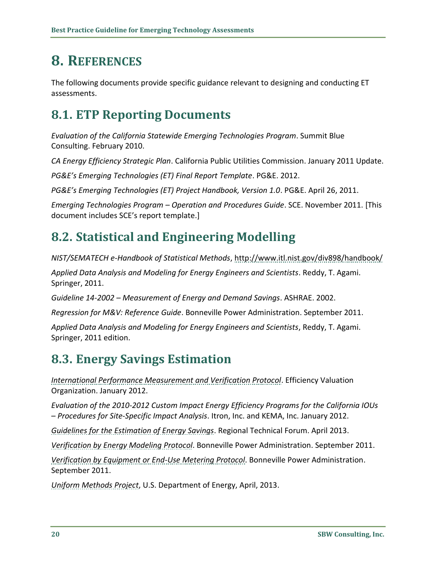# <span id="page-23-0"></span>**8. REFERENCES**

The following documents provide specific guidance relevant to designing and conducting ET assessments.

## <span id="page-23-1"></span>**8.1. ETP Reporting Documents**

*Evaluation of the California Statewide Emerging Technologies Program*. Summit Blue Consulting. February 2010.

*CA Energy Efficiency Strategic Plan*. California Public Utilities Commission. January 2011 Update.

*PG&E's Emerging Technologies (ET) Final Report Template*. PG&E. 2012.

*PG&E's Emerging Technologies (ET) Project Handbook, Version 1.0*. PG&E. April 26, 2011.

*Emerging Technologies Program – Operation and Procedures Guide*. SCE. November 2011. [This document includes SCE's report template.]

## <span id="page-23-2"></span>**8.2. Statistical and Engineering Modelling**

*NIST/SEMATECH e-Handbook of Statistical Methods*,<http://www.itl.nist.gov/div898/handbook/>

*Applied Data Analysis and Modeling for Energy Engineers and Scientists*. Reddy, T. Agami. Springer, 2011.

*Guideline 14-2002 – Measurement of Energy and Demand Savings*. ASHRAE. 2002.

*Regression for M&V: Reference Guide*. Bonneville Power Administration. September 2011.

*Applied Data Analysis and Modeling for Energy Engineers and Scientists*, Reddy, T. Agami. Springer, 2011 edition.

## <span id="page-23-3"></span>**8.3. Energy Savings Estimation**

*[International Performance Measurement and Verification Protocol](http://www.evo-world.org/index.php?option=com_content&view=article&id=272&Itemid=379&lang=en)*. Efficiency Valuation Organization. January 2012.

*Evaluation of the 2010-2012 Custom Impact Energy Efficiency Programs for the California IOUs – Procedures for Site-Specific Impact Analysis*. Itron, Inc. and KEMA, Inc. January 2012.

*[Guidelines for the Estimation of Energy Savings](http://rtf.nwcouncil.org/subcommittees/Guidelines/RTF_Guidelines_2013-04-16.pdf)*. Regional Technical Forum. April 2013.

*[Verification by Energy Modeling Protocol](http://www.bpa.gov/energy/n/pdf/7_BPA_MV_Energy_Modeling_Protocol_May2012_FINAL.pdf)*. Bonneville Power Administration. September 2011.

*[Verification by Equipment or End-Use Metering Protocol](http://www.bpa.gov/energy/n/pdf/4_BPA_MV_End-Use_Metering_Protocol_May2012_FINAL.pdf)*. Bonneville Power Administration. September 2011.

*[Uniform Methods Project](https://www1.eere.energy.gov/office_eere/de_ump.html)*, U.S. Department of Energy, April, 2013.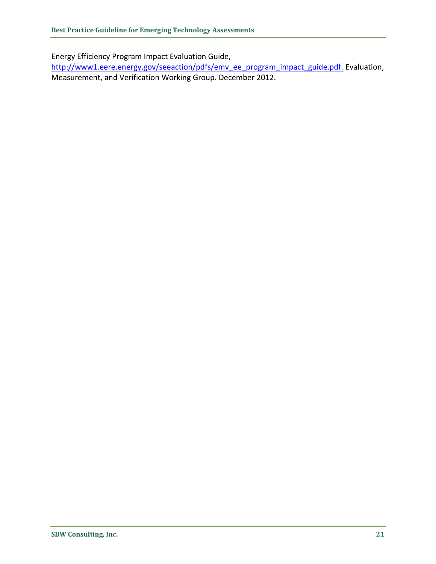Energy Efficiency Program Impact Evaluation Guide,

[http://www1.eere.energy.gov/seeaction/pdfs/emv\\_ee\\_program\\_impact\\_guide.pdf.](http://www1.eere.energy.gov/seeaction/pdfs/emv_ee_program_impact_guide.pdf.) Evaluation, Measurement, and Verification Working Group. December 2012.